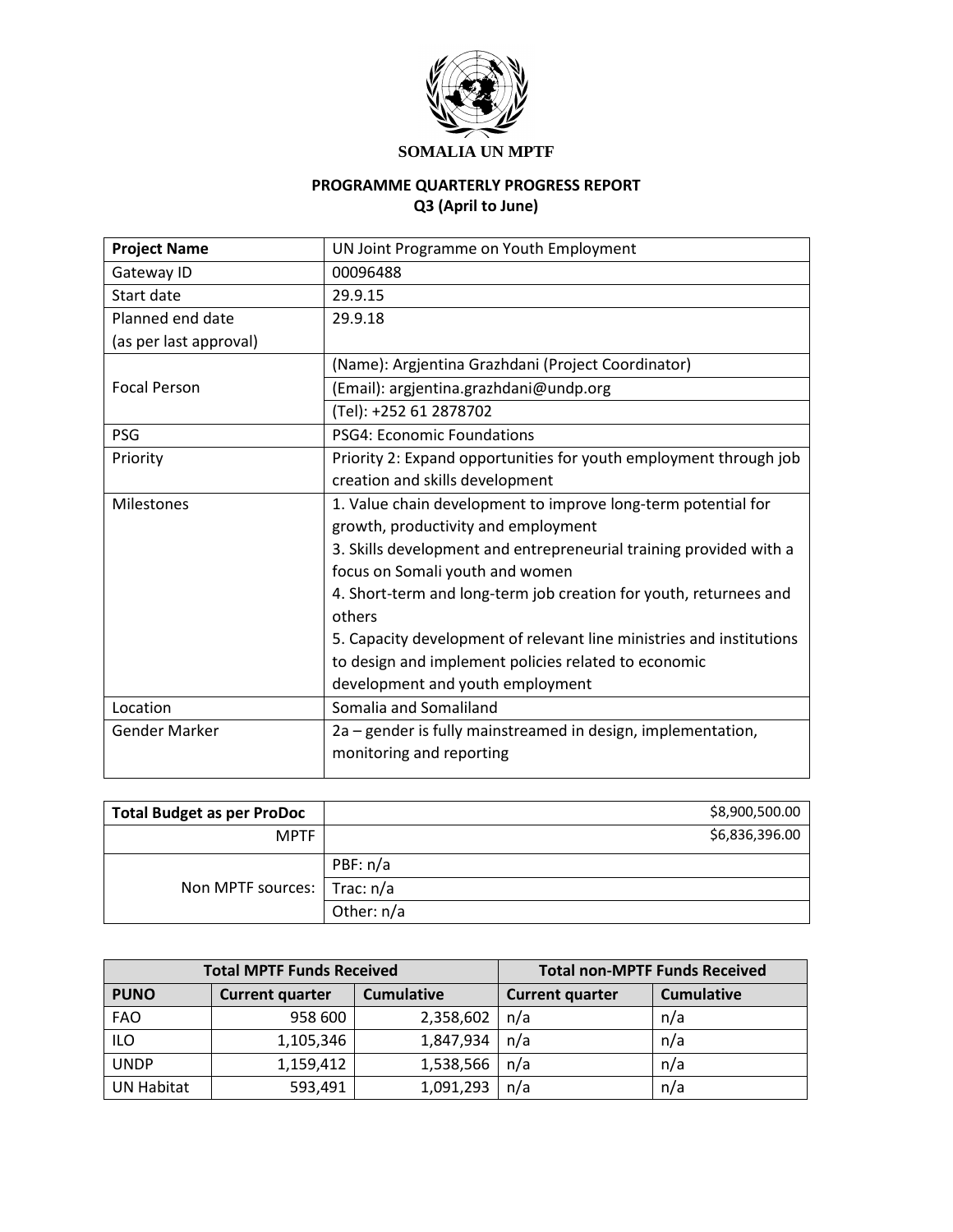

## **SOMALIA UN MPTF**

# **PROGRAMME QUARTERLY PROGRESS REPORT Q3 (April to June)**

| <b>Project Name</b>    | UN Joint Programme on Youth Employment                               |
|------------------------|----------------------------------------------------------------------|
| Gateway ID             | 00096488                                                             |
| Start date             | 29.9.15                                                              |
| Planned end date       | 29.9.18                                                              |
| (as per last approval) |                                                                      |
|                        | (Name): Argjentina Grazhdani (Project Coordinator)                   |
| <b>Focal Person</b>    | (Email): argjentina.grazhdani@undp.org                               |
|                        | (Tel): +252 61 2878702                                               |
| PSG                    | <b>PSG4: Economic Foundations</b>                                    |
| Priority               | Priority 2: Expand opportunities for youth employment through job    |
|                        | creation and skills development                                      |
| <b>Milestones</b>      | 1. Value chain development to improve long-term potential for        |
|                        | growth, productivity and employment                                  |
|                        | 3. Skills development and entrepreneurial training provided with a   |
|                        | focus on Somali youth and women                                      |
|                        | 4. Short-term and long-term job creation for youth, returnees and    |
|                        | others                                                               |
|                        | 5. Capacity development of relevant line ministries and institutions |
|                        | to design and implement policies related to economic                 |
|                        | development and youth employment                                     |
| Location               | Somalia and Somaliland                                               |
| <b>Gender Marker</b>   | 2a – gender is fully mainstreamed in design, implementation,         |
|                        | monitoring and reporting                                             |
|                        |                                                                      |

| <b>Total Budget as per ProDoc</b> | \$8,900,500.00 |
|-----------------------------------|----------------|
| <b>MPTF</b>                       | \$6,836,396.00 |
| Non MPTF sources:   Trac: n/a     | PBF: n/a       |
|                                   |                |
|                                   | Other: n/a     |

| <b>Total MPTF Funds Received</b> |                                             |           | <b>Total non-MPTF Funds Received</b> |                   |  |
|----------------------------------|---------------------------------------------|-----------|--------------------------------------|-------------------|--|
| <b>PUNO</b>                      | <b>Cumulative</b><br><b>Current quarter</b> |           | <b>Current quarter</b>               | <b>Cumulative</b> |  |
| <b>FAO</b>                       | 958 600                                     | 2,358,602 | n/a                                  | n/a               |  |
| <b>ILO</b>                       | 1,105,346                                   | 1,847,934 | n/a                                  | n/a               |  |
| <b>UNDP</b>                      | 1,159,412                                   | 1,538,566 | n/a                                  | n/a               |  |
| <b>UN Habitat</b>                | 593,491                                     | 1,091,293 | n/a                                  | n/a               |  |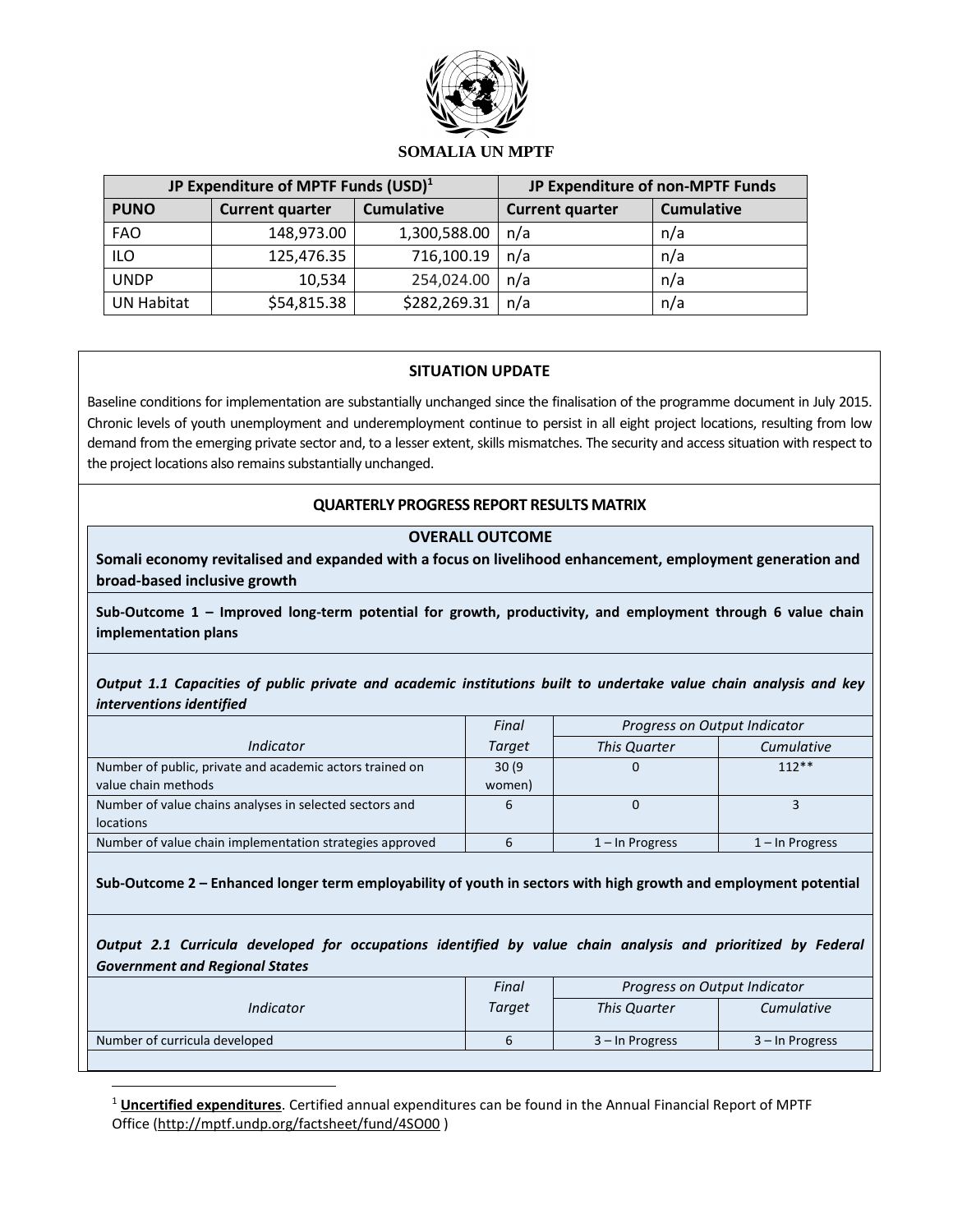

#### **SOMALIA UN MPTF**

| JP Expenditure of MPTF Funds (USD) <sup>1</sup> |                        | JP Expenditure of non-MPTF Funds |                        |                   |
|-------------------------------------------------|------------------------|----------------------------------|------------------------|-------------------|
| <b>PUNO</b>                                     | <b>Current quarter</b> | <b>Cumulative</b>                | <b>Current quarter</b> | <b>Cumulative</b> |
| <b>FAO</b>                                      | 148,973.00             | 1,300,588.00                     | n/a                    | n/a               |
| <b>ILO</b>                                      | 125,476.35             | 716,100.19                       | n/a                    | n/a               |
| <b>UNDP</b>                                     | 10,534                 | 254,024.00                       | n/a                    | n/a               |
| <b>UN Habitat</b>                               | \$54,815.38            | \$282,269.31                     | n/a                    | n/a               |

### **SITUATION UPDATE**

Baseline conditions for implementation are substantially unchanged since the finalisation of the programme document in July 2015. Chronic levels of youth unemployment and underemployment continue to persist in all eight project locations, resulting from low demand from the emerging private sector and, to a lesser extent, skills mismatches. The security and access situation with respect to the project locations also remains substantially unchanged.

### **QUARTERLY PROGRESS REPORT RESULTS MATRIX**

#### **OVERALL OUTCOME**

**Somali economy revitalised and expanded with a focus on livelihood enhancement, employment generation and broad-based inclusive growth**

**Sub-Outcome 1 – Improved long-term potential for growth, productivity, and employment through 6 value chain implementation plans**

#### *Output 1.1 Capacities of public private and academic institutions built to undertake value chain analysis and key interventions identified*

|                                                          | Final  | Progress on Output Indicator |                    |
|----------------------------------------------------------|--------|------------------------------|--------------------|
| Indicator                                                | Target | <b>This Quarter</b>          | Cumulative         |
| Number of public, private and academic actors trained on | 30(9)  |                              | $112**$            |
| value chain methods                                      | women) |                              |                    |
| Number of value chains analyses in selected sectors and  |        |                              |                    |
| <b>locations</b>                                         |        |                              |                    |
| Number of value chain implementation strategies approved |        | $1 - \ln$ Progress           | $1 - \ln$ Progress |
|                                                          |        |                              |                    |

**Sub-Outcome 2 – Enhanced longer term employability of youth in sectors with high growth and employment potential**

*Output 2.1 Curricula developed for occupations identified by value chain analysis and prioritized by Federal Government and Regional States*

|                               | Final  | Progress on Output Indicator      |                   |
|-------------------------------|--------|-----------------------------------|-------------------|
| Indicator                     | Target | This Quarter<br><b>Cumulative</b> |                   |
| Number of curricula developed |        | 3 – In Progress                   | $3 -$ In Progress |
|                               |        |                                   |                   |

<sup>1</sup> **Uncertified expenditures**. Certified annual expenditures can be found in the Annual Financial Report of MPTF Office [\(http://mptf.undp.org/factsheet/fund/4SO00](http://mptf.undp.org/factsheet/fund/4SO00) )

 $\overline{a}$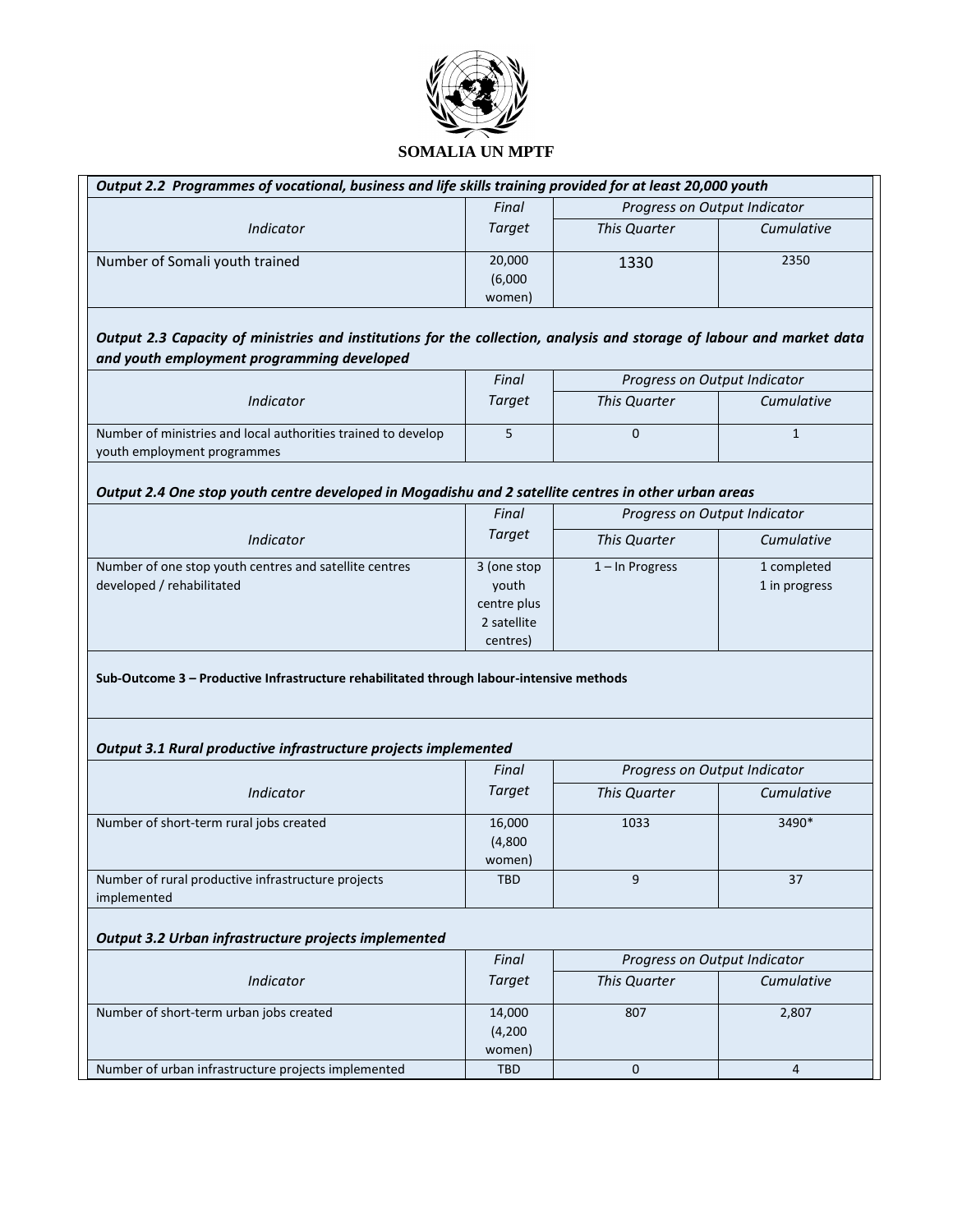

| Output 2.2 Programmes of vocational, business and life skills training provided for at least 20,000 youth |         |                              |            |  |
|-----------------------------------------------------------------------------------------------------------|---------|------------------------------|------------|--|
|                                                                                                           | Final   | Progress on Output Indicator |            |  |
| Indicator                                                                                                 | Target  | This Quarter                 | Cumulative |  |
| Number of Somali youth trained                                                                            | 20,000  | 1330                         | 2350       |  |
|                                                                                                           | (6,000) |                              |            |  |
|                                                                                                           | women)  |                              |            |  |

## *Output 2.3 Capacity of ministries and institutions for the collection, analysis and storage of labour and market data and youth employment programming developed*

|                                                               | Final  | Progress on Output Indicator |            |  |
|---------------------------------------------------------------|--------|------------------------------|------------|--|
| Indicator                                                     | Target | This Quarter                 | Cumulative |  |
| Number of ministries and local authorities trained to develop |        |                              |            |  |
| youth employment programmes                                   |        |                              |            |  |

#### *Output 2.4 One stop youth centre developed in Mogadishu and 2 satellite centres in other urban areas*

|                                                        | Final<br>Target | Progress on Output Indicator |               |  |
|--------------------------------------------------------|-----------------|------------------------------|---------------|--|
| Indicator                                              |                 | This Quarter                 | Cumulative    |  |
| Number of one stop youth centres and satellite centres | 3 (one stop     | $1 - \ln$ Progress           | 1 completed   |  |
| developed / rehabilitated                              | vouth           |                              | 1 in progress |  |
|                                                        | centre plus     |                              |               |  |
|                                                        | 2 satellite     |                              |               |  |
|                                                        | centres)        |                              |               |  |

**Sub-Outcome 3 – Productive Infrastructure rehabilitated through labour-intensive methods**

#### *Output 3.1 Rural productive infrastructure projects implemented*

|                                                    | Final      | Progress on Output Indicator |       |
|----------------------------------------------------|------------|------------------------------|-------|
| Indicator                                          | Target     | This Quarter<br>Cumulative   |       |
| Number of short-term rural jobs created            | 16,000     | 1033                         | 3490* |
|                                                    | (4,800)    |                              |       |
|                                                    | women)     |                              |       |
| Number of rural productive infrastructure projects | <b>TBD</b> | 9                            | 37    |
| implemented                                        |            |                              |       |

#### *Output 3.2 Urban infrastructure projects implemented*

|                                                     | Final      | Progress on Output Indicator |            |
|-----------------------------------------------------|------------|------------------------------|------------|
| Indicator                                           | Target     | <b>This Quarter</b>          | Cumulative |
| Number of short-term urban jobs created             | 14,000     | 807<br>2,807                 |            |
|                                                     | (4,200)    |                              |            |
|                                                     | women)     |                              |            |
| Number of urban infrastructure projects implemented | <b>TBD</b> |                              |            |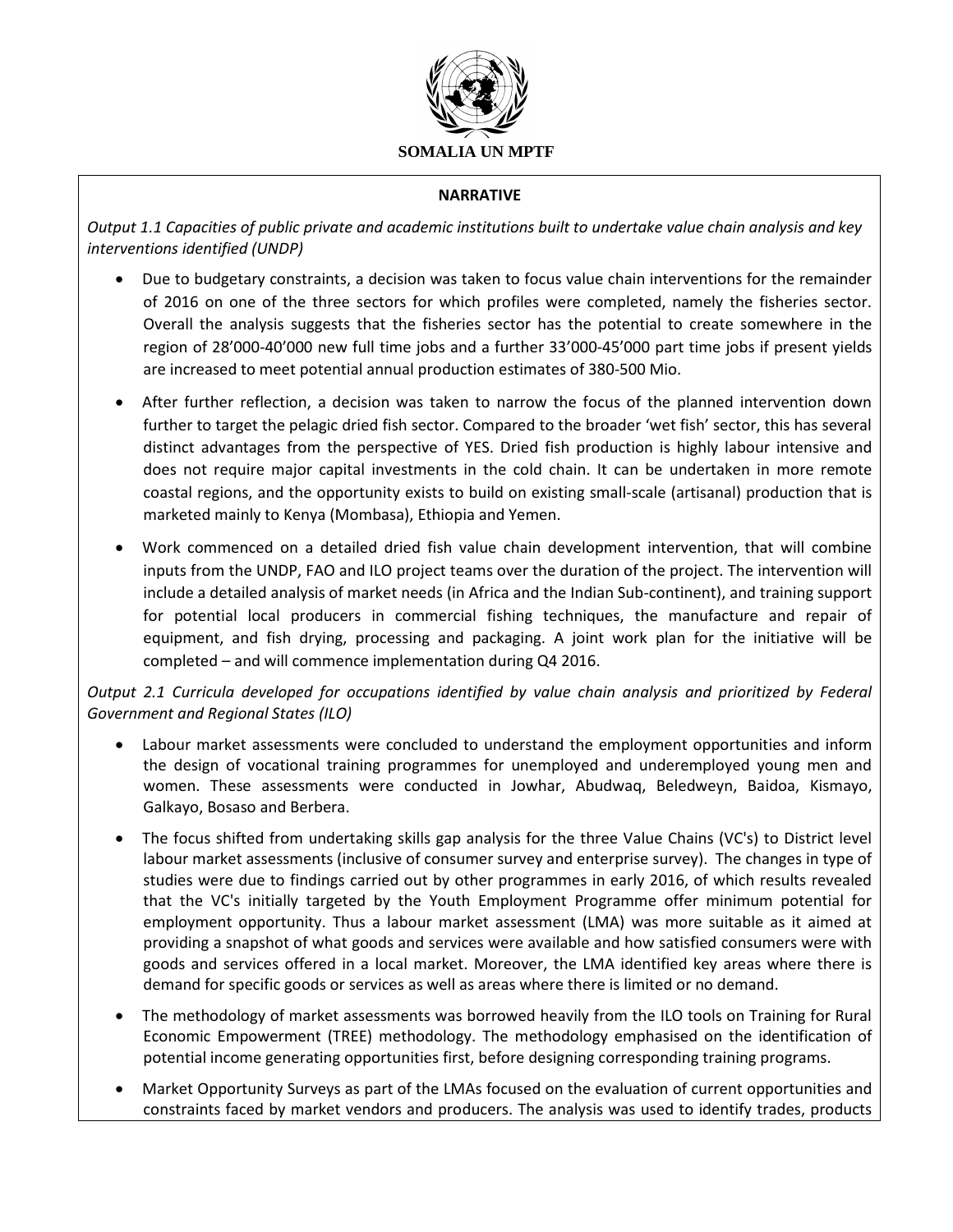

### **NARRATIVE**

*Output 1.1 Capacities of public private and academic institutions built to undertake value chain analysis and key interventions identified (UNDP)*

- Due to budgetary constraints, a decision was taken to focus value chain interventions for the remainder of 2016 on one of the three sectors for which profiles were completed, namely the fisheries sector. Overall the analysis suggests that the fisheries sector has the potential to create somewhere in the region of 28'000-40'000 new full time jobs and a further 33'000-45'000 part time jobs if present yields are increased to meet potential annual production estimates of 380-500 Mio.
- After further reflection, a decision was taken to narrow the focus of the planned intervention down further to target the pelagic dried fish sector. Compared to the broader 'wet fish' sector, this has several distinct advantages from the perspective of YES. Dried fish production is highly labour intensive and does not require major capital investments in the cold chain. It can be undertaken in more remote coastal regions, and the opportunity exists to build on existing small-scale (artisanal) production that is marketed mainly to Kenya (Mombasa), Ethiopia and Yemen.
- Work commenced on a detailed dried fish value chain development intervention, that will combine inputs from the UNDP, FAO and ILO project teams over the duration of the project. The intervention will include a detailed analysis of market needs (in Africa and the Indian Sub-continent), and training support for potential local producers in commercial fishing techniques, the manufacture and repair of equipment, and fish drying, processing and packaging. A joint work plan for the initiative will be completed – and will commence implementation during Q4 2016.

*Output 2.1 Curricula developed for occupations identified by value chain analysis and prioritized by Federal Government and Regional States (ILO)*

- Labour market assessments were concluded to understand the employment opportunities and inform the design of vocational training programmes for unemployed and underemployed young men and women. These assessments were conducted in Jowhar, Abudwaq, Beledweyn, Baidoa, Kismayo, Galkayo, Bosaso and Berbera.
- The focus shifted from undertaking skills gap analysis for the three Value Chains (VC's) to District level labour market assessments (inclusive of consumer survey and enterprise survey). The changes in type of studies were due to findings carried out by other programmes in early 2016, of which results revealed that the VC's initially targeted by the Youth Employment Programme offer minimum potential for employment opportunity. Thus a labour market assessment (LMA) was more suitable as it aimed at providing a snapshot of what goods and services were available and how satisfied consumers were with goods and services offered in a local market. Moreover, the LMA identified key areas where there is demand for specific goods or services as well as areas where there is limited or no demand.
- The methodology of market assessments was borrowed heavily from the ILO tools on Training for Rural Economic Empowerment (TREE) methodology. The methodology emphasised on the identification of potential income generating opportunities first, before designing corresponding training programs.
- Market Opportunity Surveys as part of the LMAs focused on the evaluation of current opportunities and constraints faced by market vendors and producers. The analysis was used to identify trades, products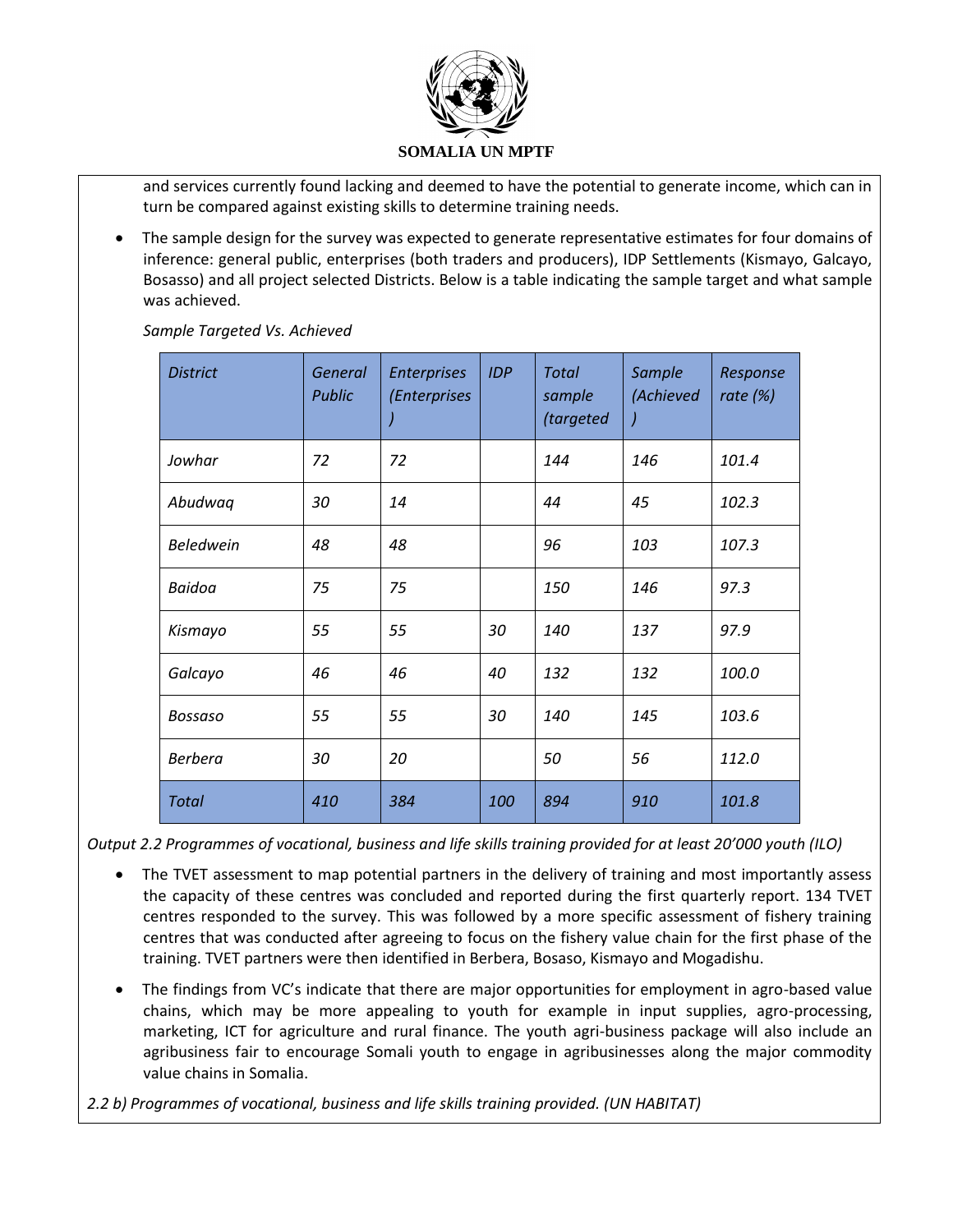

and services currently found lacking and deemed to have the potential to generate income, which can in turn be compared against existing skills to determine training needs.

 The sample design for the survey was expected to generate representative estimates for four domains of inference: general public, enterprises (both traders and producers), IDP Settlements (Kismayo, Galcayo, Bosasso) and all project selected Districts. Below is a table indicating the sample target and what sample was achieved.

| <b>District</b>  | General<br>Public | <b>Enterprises</b><br>(Enterprises | <b>IDP</b> | <b>Total</b><br>sample<br>(targeted | Sample<br>(Achieved | Response<br>rate $(\%)$ |
|------------------|-------------------|------------------------------------|------------|-------------------------------------|---------------------|-------------------------|
| Jowhar           | 72                | 72                                 |            | 144                                 | 146                 | 101.4                   |
| Abudwaq          | 30                | 14                                 |            | 44                                  | 45                  | 102.3                   |
| <b>Beledwein</b> | 48                | 48                                 |            | 96                                  | 103                 | 107.3                   |
| Baidoa           | 75                | 75                                 |            | 150                                 | 146                 | 97.3                    |
| Kismayo          | 55                | 55                                 | 30         | 140                                 | 137                 | 97.9                    |
| Galcayo          | 46                | 46                                 | 40         | 132                                 | 132                 | 100.0                   |
| Bossaso          | 55                | 55                                 | 30         | 140                                 | 145                 | 103.6                   |
| <b>Berbera</b>   | 30                | 20                                 |            | 50                                  | 56                  | 112.0                   |
| <b>Total</b>     | 410               | 384                                | 100        | 894                                 | 910                 | 101.8                   |

*Sample Targeted Vs. Achieved*

*Output 2.2 Programmes of vocational, business and life skills training provided for at least 20'000 youth (ILO)*

- The TVET assessment to map potential partners in the delivery of training and most importantly assess the capacity of these centres was concluded and reported during the first quarterly report. 134 TVET centres responded to the survey. This was followed by a more specific assessment of fishery training centres that was conducted after agreeing to focus on the fishery value chain for the first phase of the training. TVET partners were then identified in Berbera, Bosaso, Kismayo and Mogadishu.
- The findings from VC's indicate that there are major opportunities for employment in agro-based value chains, which may be more appealing to youth for example in input supplies, agro-processing, marketing, ICT for agriculture and rural finance. The youth agri-business package will also include an agribusiness fair to encourage Somali youth to engage in agribusinesses along the major commodity value chains in Somalia.

*2.2 b) Programmes of vocational, business and life skills training provided. (UN HABITAT)*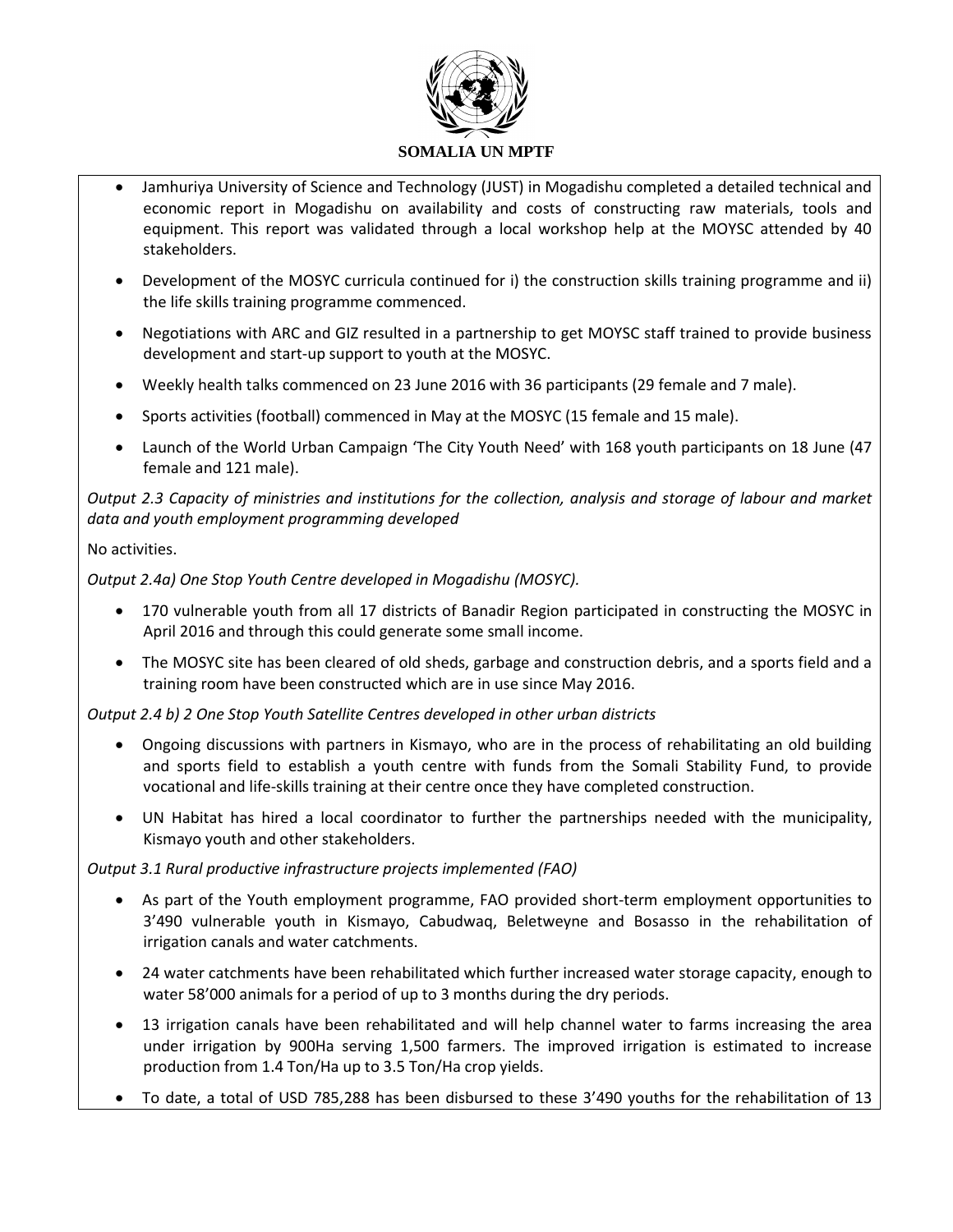

- Jamhuriya University of Science and Technology (JUST) in Mogadishu completed a detailed technical and economic report in Mogadishu on availability and costs of constructing raw materials, tools and equipment. This report was validated through a local workshop help at the MOYSC attended by 40 stakeholders.
- Development of the MOSYC curricula continued for i) the construction skills training programme and ii) the life skills training programme commenced.
- Negotiations with ARC and GIZ resulted in a partnership to get MOYSC staff trained to provide business development and start-up support to youth at the MOSYC.
- Weekly health talks commenced on 23 June 2016 with 36 participants (29 female and 7 male).
- Sports activities (football) commenced in May at the MOSYC (15 female and 15 male).
- Launch of the World Urban Campaign 'The City Youth Need' with 168 youth participants on 18 June (47 female and 121 male).

*Output 2.3 Capacity of ministries and institutions for the collection, analysis and storage of labour and market data and youth employment programming developed*

## No activities.

*Output 2.4a) One Stop Youth Centre developed in Mogadishu (MOSYC).* 

- 170 vulnerable youth from all 17 districts of Banadir Region participated in constructing the MOSYC in April 2016 and through this could generate some small income.
- The MOSYC site has been cleared of old sheds, garbage and construction debris, and a sports field and a training room have been constructed which are in use since May 2016.

## *Output 2.4 b) 2 One Stop Youth Satellite Centres developed in other urban districts*

- Ongoing discussions with partners in Kismayo, who are in the process of rehabilitating an old building and sports field to establish a youth centre with funds from the Somali Stability Fund, to provide vocational and life-skills training at their centre once they have completed construction.
- UN Habitat has hired a local coordinator to further the partnerships needed with the municipality, Kismayo youth and other stakeholders.

## *Output 3.1 Rural productive infrastructure projects implemented (FAO)*

- As part of the Youth employment programme, FAO provided short-term employment opportunities to 3'490 vulnerable youth in Kismayo, Cabudwaq, Beletweyne and Bosasso in the rehabilitation of irrigation canals and water catchments.
- 24 water catchments have been rehabilitated which further increased water storage capacity, enough to water 58'000 animals for a period of up to 3 months during the dry periods.
- 13 irrigation canals have been rehabilitated and will help channel water to farms increasing the area under irrigation by 900Ha serving 1,500 farmers. The improved irrigation is estimated to increase production from 1.4 Ton/Ha up to 3.5 Ton/Ha crop yields.
- To date, a total of USD 785,288 has been disbursed to these 3'490 youths for the rehabilitation of 13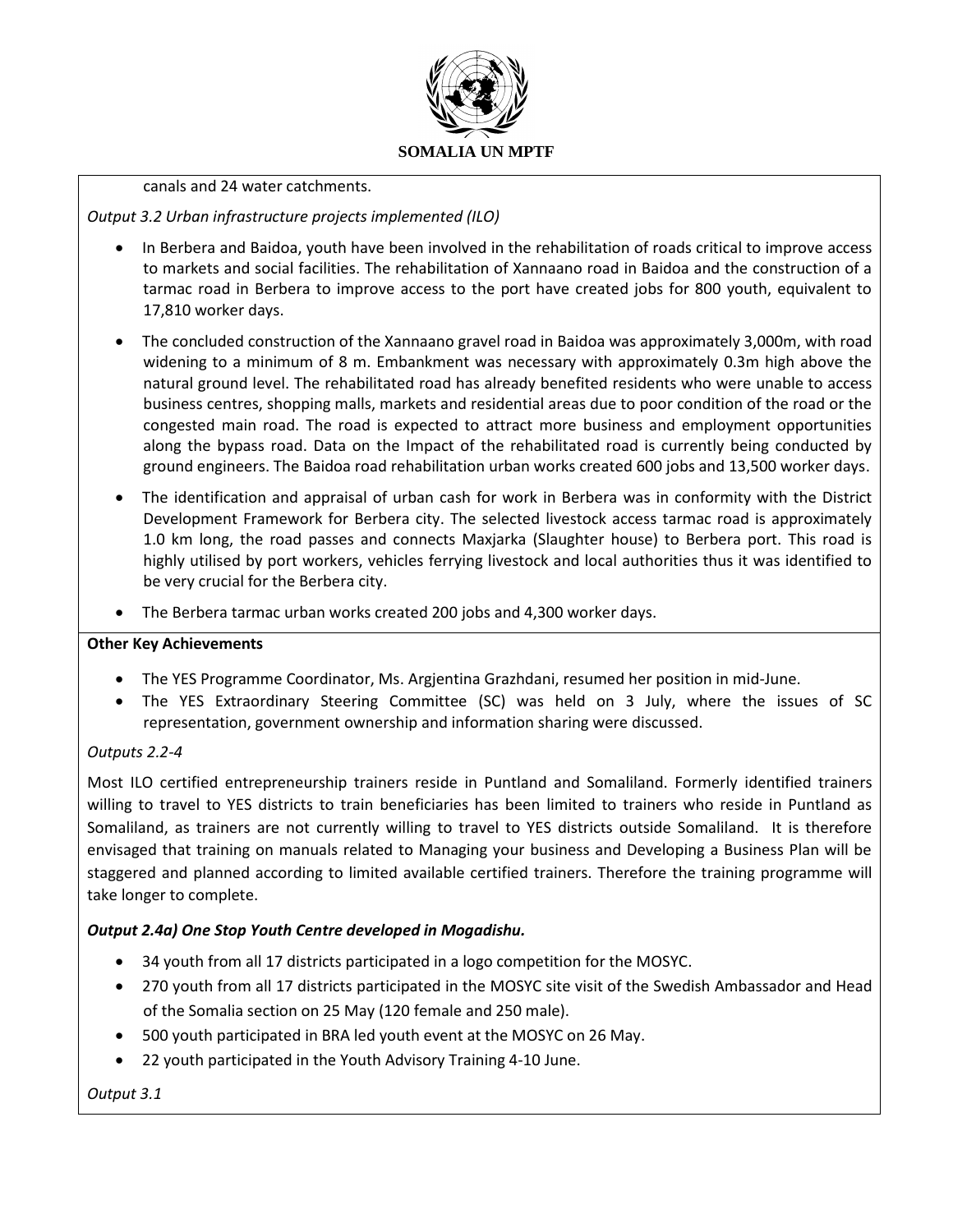

#### canals and 24 water catchments.

*Output 3.2 Urban infrastructure projects implemented (ILO)*

- In Berbera and Baidoa, youth have been involved in the rehabilitation of roads critical to improve access to markets and social facilities. The rehabilitation of Xannaano road in Baidoa and the construction of a tarmac road in Berbera to improve access to the port have created jobs for 800 youth, equivalent to 17,810 worker days.
- The concluded construction of the Xannaano gravel road in Baidoa was approximately 3,000m, with road widening to a minimum of 8 m. Embankment was necessary with approximately 0.3m high above the natural ground level. The rehabilitated road has already benefited residents who were unable to access business centres, shopping malls, markets and residential areas due to poor condition of the road or the congested main road. The road is expected to attract more business and employment opportunities along the bypass road. Data on the Impact of the rehabilitated road is currently being conducted by ground engineers. The Baidoa road rehabilitation urban works created 600 jobs and 13,500 worker days.
- The identification and appraisal of urban cash for work in Berbera was in conformity with the District Development Framework for Berbera city. The selected livestock access tarmac road is approximately 1.0 km long, the road passes and connects Maxjarka (Slaughter house) to Berbera port. This road is highly utilised by port workers, vehicles ferrying livestock and local authorities thus it was identified to be very crucial for the Berbera city.
- The Berbera tarmac urban works created 200 jobs and 4,300 worker days.

### **Other Key Achievements**

- The YES Programme Coordinator, Ms. Argjentina Grazhdani, resumed her position in mid-June.
- The YES Extraordinary Steering Committee (SC) was held on 3 July, where the issues of SC representation, government ownership and information sharing were discussed.

### *Outputs 2.2-4*

Most ILO certified entrepreneurship trainers reside in Puntland and Somaliland. Formerly identified trainers willing to travel to YES districts to train beneficiaries has been limited to trainers who reside in Puntland as Somaliland, as trainers are not currently willing to travel to YES districts outside Somaliland. It is therefore envisaged that training on manuals related to Managing your business and Developing a Business Plan will be staggered and planned according to limited available certified trainers. Therefore the training programme will take longer to complete.

## *Output 2.4a) One Stop Youth Centre developed in Mogadishu.*

- 34 youth from all 17 districts participated in a logo competition for the MOSYC.
- 270 youth from all 17 districts participated in the MOSYC site visit of the Swedish Ambassador and Head of the Somalia section on 25 May (120 female and 250 male).
- 500 youth participated in BRA led youth event at the MOSYC on 26 May.
- 22 youth participated in the Youth Advisory Training 4-10 June.

*Output 3.1*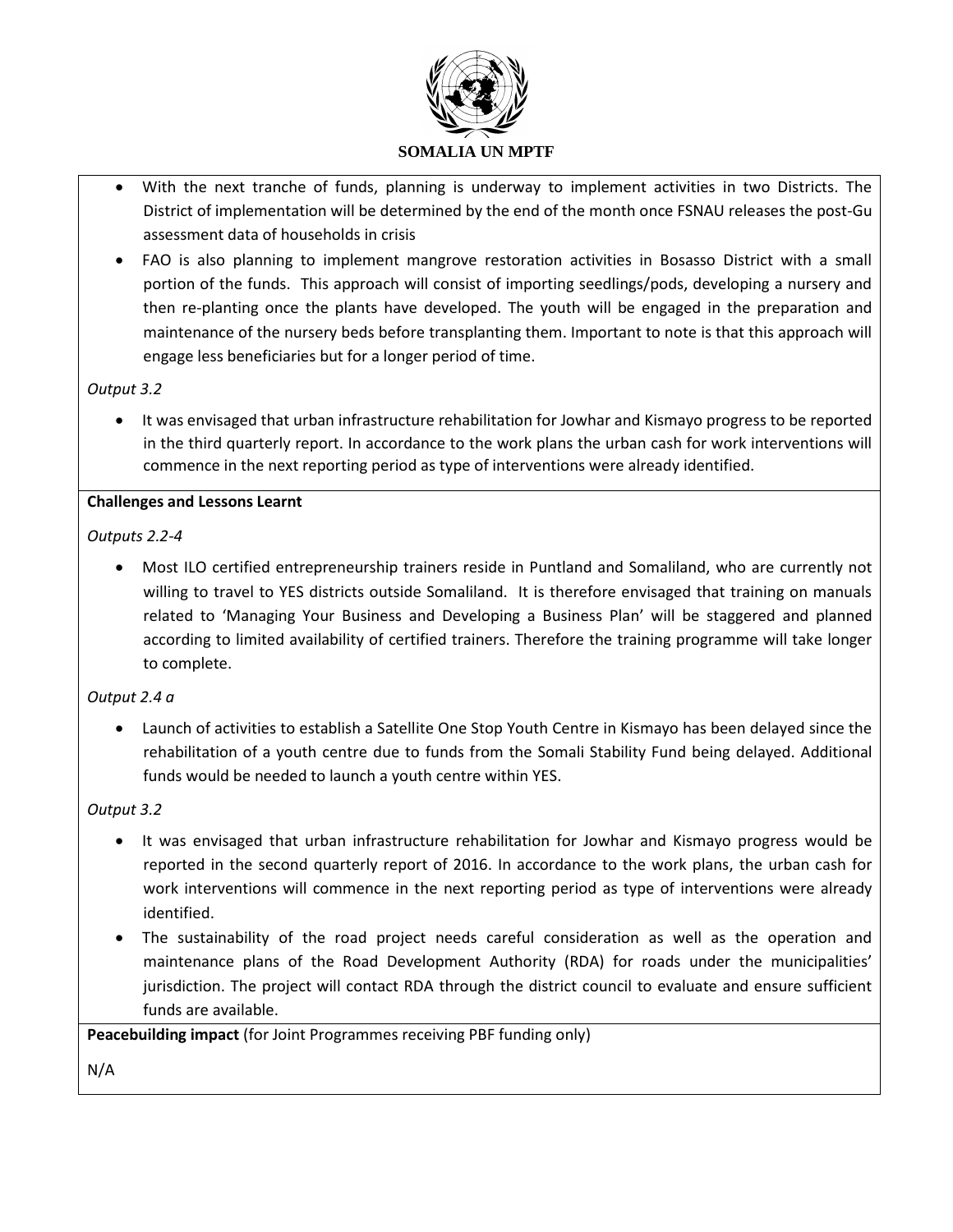

- With the next tranche of funds, planning is underway to implement activities in two Districts. The District of implementation will be determined by the end of the month once FSNAU releases the post-Gu assessment data of households in crisis
- FAO is also planning to implement mangrove restoration activities in Bosasso District with a small portion of the funds. This approach will consist of importing seedlings/pods, developing a nursery and then re-planting once the plants have developed. The youth will be engaged in the preparation and maintenance of the nursery beds before transplanting them. Important to note is that this approach will engage less beneficiaries but for a longer period of time.

## *Output 3.2*

 It was envisaged that urban infrastructure rehabilitation for Jowhar and Kismayo progress to be reported in the third quarterly report. In accordance to the work plans the urban cash for work interventions will commence in the next reporting period as type of interventions were already identified.

#### **Challenges and Lessons Learnt**

## *Outputs 2.2-4*

 Most ILO certified entrepreneurship trainers reside in Puntland and Somaliland, who are currently not willing to travel to YES districts outside Somaliland. It is therefore envisaged that training on manuals related to 'Managing Your Business and Developing a Business Plan' will be staggered and planned according to limited availability of certified trainers. Therefore the training programme will take longer to complete.

### *Output 2.4 a*

 Launch of activities to establish a Satellite One Stop Youth Centre in Kismayo has been delayed since the rehabilitation of a youth centre due to funds from the Somali Stability Fund being delayed. Additional funds would be needed to launch a youth centre within YES.

### *Output 3.2*

- It was envisaged that urban infrastructure rehabilitation for Jowhar and Kismayo progress would be reported in the second quarterly report of 2016. In accordance to the work plans, the urban cash for work interventions will commence in the next reporting period as type of interventions were already identified.
- The sustainability of the road project needs careful consideration as well as the operation and maintenance plans of the Road Development Authority (RDA) for roads under the municipalities' jurisdiction. The project will contact RDA through the district council to evaluate and ensure sufficient funds are available.

**Peacebuilding impact** (for Joint Programmes receiving PBF funding only)

N/A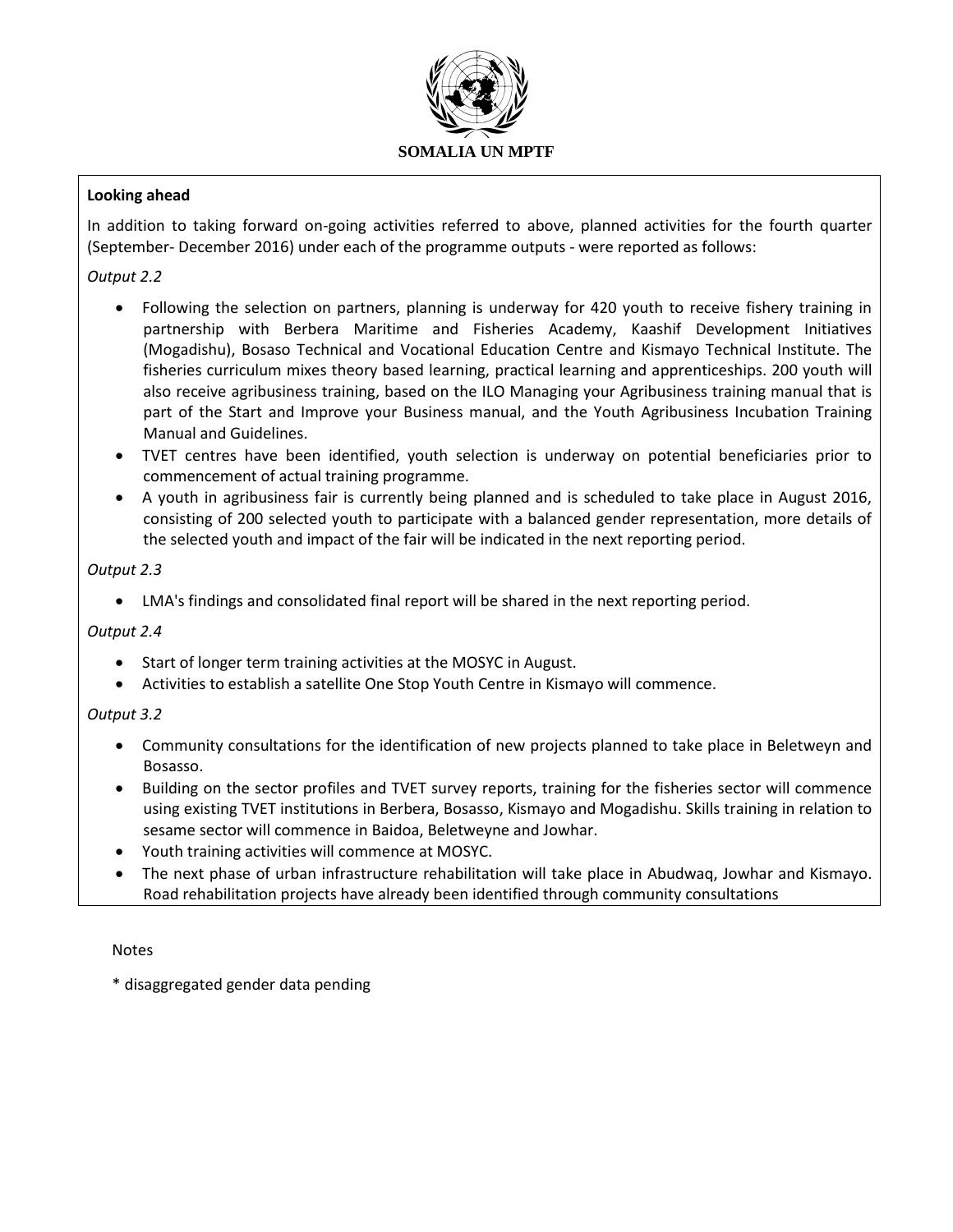

## **Looking ahead**

In addition to taking forward on-going activities referred to above, planned activities for the fourth quarter (September- December 2016) under each of the programme outputs - were reported as follows:

## *Output 2.2*

- Following the selection on partners, planning is underway for 420 youth to receive fishery training in partnership with Berbera Maritime and Fisheries Academy, Kaashif Development Initiatives (Mogadishu), Bosaso Technical and Vocational Education Centre and Kismayo Technical Institute. The fisheries curriculum mixes theory based learning, practical learning and apprenticeships. 200 youth will also receive agribusiness training, based on the ILO Managing your Agribusiness training manual that is part of the Start and Improve your Business manual, and the Youth Agribusiness Incubation Training Manual and Guidelines.
- TVET centres have been identified, youth selection is underway on potential beneficiaries prior to commencement of actual training programme.
- A youth in agribusiness fair is currently being planned and is scheduled to take place in August 2016, consisting of 200 selected youth to participate with a balanced gender representation, more details of the selected youth and impact of the fair will be indicated in the next reporting period.

### *Output 2.3*

LMA's findings and consolidated final report will be shared in the next reporting period.

### *Output 2.4*

- Start of longer term training activities at the MOSYC in August.
- Activities to establish a satellite One Stop Youth Centre in Kismayo will commence.

### *Output 3.2*

- Community consultations for the identification of new projects planned to take place in Beletweyn and Bosasso.
- Building on the sector profiles and TVET survey reports, training for the fisheries sector will commence using existing TVET institutions in Berbera, Bosasso, Kismayo and Mogadishu. Skills training in relation to sesame sector will commence in Baidoa, Beletweyne and Jowhar.
- Youth training activities will commence at MOSYC.
- The next phase of urban infrastructure rehabilitation will take place in Abudwaq, Jowhar and Kismayo. Road rehabilitation projects have already been identified through community consultations

#### Notes

\* disaggregated gender data pending